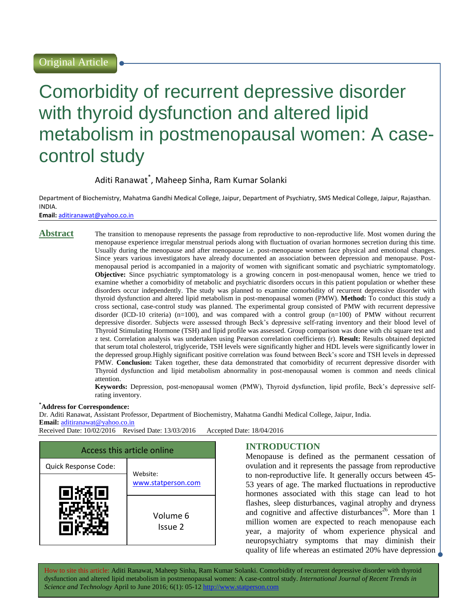# Comorbidity of recurrent depressive disorder with thyroid dysfunction and altered lipid metabolism in postmenopausal women: A casecontrol study

Aditi Ranawat\* , Maheep Sinha, Ram Kumar Solanki

Department of Biochemistry, Mahatma Gandhi Medical College, Jaipur, Department of Psychiatry, SMS Medical College, Jaipur, Rajasthan. INDIA.

**Email:** [aditiranawat@yahoo.co.in](mailto:aditiranawat@yahoo.co.in)

**Abstract** The transition to menopause represents the passage from reproductive to non-reproductive life. Most women during the menopause experience irregular menstrual periods along with fluctuation of ovarian hormones secretion during this time. Usually during the menopause and after menopause i.e. post-menopause women face physical and emotional changes. Since years various investigators have already documented an association between depression and menopause. Postmenopausal period is accompanied in a majority of women with significant somatic and psychiatric symptomatology. **Objective:** Since psychiatric symptomatology is a growing concern in post-menopausal women, hence we tried to examine whether a comorbidity of metabolic and psychiatric disorders occurs in this patient population or whether these disorders occur independently. The study was planned to examine comorbidity of recurrent depressive disorder with thyroid dysfunction and altered lipid metabolism in post-menopausal women (PMW). **Method:** To conduct this study a cross sectional, case-control study was planned. The experimental group consisted of PMW with recurrent depressive disorder (ICD-10 criteria) (n=100), and was compared with a control group (n=100) of PMW without recurrent depressive disorder. Subjects were assessed through Beck's depressive self-rating inventory and their blood level of Thyroid Stimulating Hormone (TSH) and lipid profile was assessed. Group comparison was done with chi square test and z test. Correlation analysis was undertaken using Pearson correlation coefficients (r). **Result:** Results obtained depicted that serum total cholesterol, triglyceride, TSH levels were significantly higher and HDL levels were significantly lower in the depressed group.Highly significant positive correlation was found between Beck's score and TSH levels in depressed PMW. **Conclusion:** Taken together, these data demonstrated that comorbidity of recurrent depressive disorder with Thyroid dysfunction and lipid metabolism abnormality in post-menopausal women is common and needs clinical attention.

> **Keywords:** Depression, post-menopausal women (PMW), Thyroid dysfunction, lipid profile, Beck's depressive selfrating inventory.

#### **\*Address for Correspondence:**

Dr. Aditi Ranawat, Assistant Professor, Department of Biochemistry, Mahatma Gandhi Medical College, Jaipur, India.

**Email:** [aditiranawat@yahoo.co.in](mailto:aditiranawat@yahoo.co.in)

Received Date: 10/02/2016 Revised Date: 13/03/2016 Accepted Date: 18/04/2016

| Access this article online       |                     |  |  |
|----------------------------------|---------------------|--|--|
| Quick Response Code:<br>Website: |                     |  |  |
|                                  | www.statperson.com  |  |  |
|                                  | Volume 6<br>Issue 2 |  |  |

# **INTRODUCTION**

Menopause is defined as the permanent cessation of ovulation and it represents the passage from reproductive to non-reproductive life. It generally occurs between 45- 53 years of age. The marked fluctuations in reproductive hormones associated with this stage can lead to hot flashes, sleep disturbances, vaginal atrophy and dryness and cognitive and affective disturbances<sup>26</sup>. More than 1 million women are expected to reach menopause each year, a majority of whom experience physical and neuropsychiatry symptoms that may diminish their quality of life whereas an estimated 20% have depression

How to site this article: Aditi Ranawat, Maheep Sinha, Ram Kumar Solanki*.* Comorbidity of recurrent depressive disorder with thyroid dysfunction and altered lipid metabolism in postmenopausal women: A case-control study. *International Journal of Recent Trends in Science and Technology* April to June 2016; 6(1): 05-12 http://www.statperson.com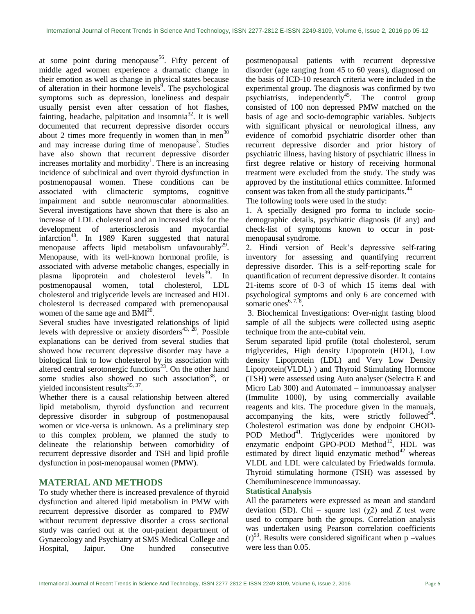at some point during menopause<sup>56</sup>. Fifty percent of middle aged women experience a dramatic change in their emotion as well as change in physical states because of alteration in their hormone levels<sup> $\delta$ </sup>. The psychological symptoms such as depression, loneliness and despair usually persist even after cessation of hot flashes, fainting, headache, palpitation and insomnia<sup>32</sup>. It is well documented that recurrent depressive disorder occurs about 2 times more frequently in women than in men<sup>30</sup> and may increase during time of menopause<sup>3</sup>. Studies have also shown that recurrent depressive disorder increases mortality and morbidity<sup>1</sup>. There is an increasing incidence of subclinical and overt thyroid dysfunction in postmenopausal women. These conditions can be associated with climacteric symptoms, cognitive impairment and subtle neuromuscular abnormalities. Several investigations have shown that there is also an increase of LDL cholesterol and an increased risk for the development of arteriosclerosis and myocardial infarction<sup>48</sup>. In 1989 Karen suggested that natural menopause affects lipid metabolism unfavourably $^{29}$ . Menopause, with its well-known hormonal profile, is associated with adverse metabolic changes, especially in plasma lipoprotein and cholesterol levels<sup>39</sup>. In postmenopausal women, total cholesterol, LDL cholesterol and triglyceride levels are increased and HDL cholesterol is decreased compared with premenopausal women of the same age and  $\overline{BM}^{20}$ .

Several studies have investigated relationships of lipid levels with depressive or anxiety disorders<sup>43, 28</sup>. Possible explanations can be derived from several studies that showed how recurrent depressive disorder may have a biological link to low cholesterol by its association with altered central serotonergic functions<sup>23</sup>. On the other hand some studies also showed no such association<sup>38</sup>, or yielded inconsistent results<sup>35, 37</sup>.

Whether there is a causal relationship between altered lipid metabolism, thyroid dysfunction and recurrent depressive disorder in subgroup of postmenopausal women or vice-versa is unknown. As a preliminary step to this complex problem, we planned the study to delineate the relationship between comorbidity of recurrent depressive disorder and TSH and lipid profile dysfunction in post-menopausal women (PMW).

# **MATERIAL AND METHODS**

To study whether there is increased prevalence of thyroid dysfunction and altered lipid metabolism in PMW with recurrent depressive disorder as compared to PMW without recurrent depressive disorder a cross sectional study was carried out at the out-patient department of Gynaecology and Psychiatry at SMS Medical College and Hospital, Jaipur. One hundred consecutive postmenopausal patients with recurrent depressive disorder (age ranging from 45 to 60 years), diagnosed on the basis of ICD-10 research criteria were included in the experimental group. The diagnosis was confirmed by two psychiatrists, independently<sup>45</sup>. The control group consisted of 100 non depressed PMW matched on the basis of age and socio-demographic variables. Subjects with significant physical or neurological illness, any evidence of comorbid psychiatric disorder other than recurrent depressive disorder and prior history of psychiatric illness, having history of psychiatric illness in first degree relative or history of receiving hormonal treatment were excluded from the study. The study was approved by the institutional ethics committee. Informed consent was taken from all the study participants.<sup>44</sup> The following tools were used in the study:

1. A specially designed pro forma to include sociodemographic details, psychiatric diagnosis (if any) and check-list of symptoms known to occur in postmenopausal syndrome.

2. Hindi version of Beck's depressive self-rating inventory for assessing and quantifying recurrent depressive disorder. This is a self-reporting scale for quantification of recurrent depressive disorder. It contains 21-items score of 0-3 of which 15 items deal with psychological symptoms and only 6 are concerned with somatic ones  $6, 7, 8$ .

3. Biochemical Investigations: Over-night fasting blood sample of all the subjects were collected using aseptic technique from the ante-cubital vein.

Serum separated lipid profile (total cholesterol, serum triglycerides, High density Lipoprotein (HDL), Low density Lipoprotein (LDL) and Very Low Density Lipoprotein(VLDL) ) and Thyroid Stimulating Hormone (TSH) were assessed using Auto analyser (Selectra E and Micro Lab 300) and Automated – immunoassay analyser (Immulite 1000), by using commercially available reagents and kits. The procedure given in the manuals,  $\alpha$ companying the kits, were strictly followed<sup>54</sup>. Cholesterol estimation was done by endpoint CHOD-POD Method<sup>41</sup>. Triglycerides were monitored by enzymatic endpoint  $\overrightarrow{GPO-POD}$  Method<sup>12</sup>, HDL was estimated by direct liquid enzymatic method $42$  whereas VLDL and LDL were calculated by Friedwalds formula. Thyroid stimulating hormone (TSH) was assessed by Chemiluminescence immunoassay.

# **Statistical Analysis**

All the parameters were expressed as mean and standard deviation (SD). Chi – square test ( $\chi$ 2) and Z test were used to compare both the groups. Correlation analysis was undertaken using Pearson correlation coefficients  $(r)^{53}$ . Results were considered significant when p –values were less than 0.05.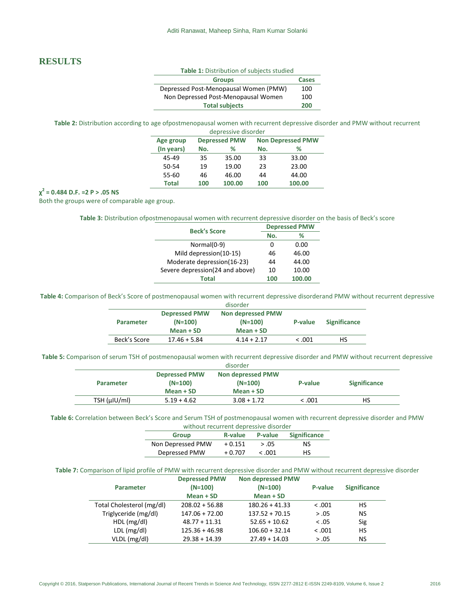# **RESULTS**

| Table 1: Distribution of subjects studied |       |  |
|-------------------------------------------|-------|--|
| <b>Groups</b>                             | Cases |  |
| Depressed Post-Menopausal Women (PMW)     | 100   |  |
| Non Depressed Post-Menopausal Women       | 100   |  |
| <b>Total subjects</b>                     | 200   |  |

**Table 2:** Distribution according to age ofpostmenopausal women with recurrent depressive disorder and PMW without recurrent depressive disorder

| Age group    | <b>Depressed PMW</b> |        | <b>Non Depressed PMW</b> |        |  |
|--------------|----------------------|--------|--------------------------|--------|--|
| (In years)   | No.                  | ℅      | No.                      | ℅      |  |
| 45-49        | 35                   | 35.00  | 33                       | 33.00  |  |
| 50-54        | 19                   | 19.00  | 23                       | 23.00  |  |
| 55-60        | 46                   | 46.00  | 44                       | 44.00  |  |
| <b>Total</b> | 100                  | 100.00 | 100                      | 100.00 |  |
|              |                      |        |                          |        |  |

## **χ 2 = 0.484 D.F. =2 P > .05 NS**

Both the groups were of comparable age group.

#### **Table 3:** Distribution ofpostmenopausal women with recurrent depressive disorder on the basis of Beck's score

| <b>Beck's Score</b>             | <b>Depressed PMW</b> |        |  |
|---------------------------------|----------------------|--------|--|
|                                 | No.                  | ℅      |  |
| Normal(0-9)                     | 0                    | 0.00   |  |
| Mild depression(10-15)          | 46                   | 46.00  |  |
| Moderate depression(16-23)      | 44                   | 44.00  |  |
| Severe depression(24 and above) | 10                   | 10.00  |  |
| Total                           | 100                  | 100.00 |  |

**Table 4:** Comparison of Beck's Score of postmenopausal women with recurrent depressive disorderand PMW without recurrent depressive disorder

|              |                                                | uisoruer                                           |         |                     |
|--------------|------------------------------------------------|----------------------------------------------------|---------|---------------------|
| Parameter    | <b>Depressed PMW</b><br>$(N=100)$<br>Mean + SD | <b>Non depressed PMW</b><br>$(N=100)$<br>Mean + SD | P-value | <b>Significance</b> |
| Beck's Score | $17.46 + 5.84$                                 | $4.14 + 2.17$                                      | < 0.001 | НS                  |

**Table 5:** Comparison of serum TSH of postmenopausal women with recurrent depressive disorder and PMW without recurrent depressive

| disorder         |                                   |                                |         |                     |
|------------------|-----------------------------------|--------------------------------|---------|---------------------|
| <b>Parameter</b> | <b>Depressed PMW</b><br>$(N=100)$ | Non depressed PMW<br>$(N=100)$ | P-value | <b>Significance</b> |
|                  | Mean + SD                         | Mean + SD                      |         |                     |
| TSH (µIU/ml)     | $5.19 + 4.62$                     | $3.08 + 1.72$                  | < .001  | НS                  |

**Table 6:** Correlation between Beck's Score and Serum TSH of postmenopausal women with recurrent depressive disorder and PMW without recurrent depressive disorder

| <b>Group</b>      | R-value  | P-value | <b>Significance</b> |
|-------------------|----------|---------|---------------------|
| Non Depressed PMW | $+0.151$ | > .05   | NS                  |
| Depressed PMW     | $+0.707$ | < 0.001 | HS                  |

**Table 7:** Comparison of lipid profile of PMW with recurrent depressive disorder and PMW without recurrent depressive disorder

| <b>Parameter</b>          | <b>Depressed PMW</b><br>$(N=100)$<br>Mean + SD | <b>Non depressed PMW</b><br>$(N=100)$<br>$Mean + SD$ | P-value | <b>Significance</b> |
|---------------------------|------------------------------------------------|------------------------------------------------------|---------|---------------------|
| Total Cholesterol (mg/dl) | $208.02 + 56.88$                               | $180.26 + 41.33$                                     | < 0.001 | HS                  |
| Triglyceride (mg/dl)      | $147.06 + 72.00$                               | $137.52 + 70.15$                                     | > .05   | NS.                 |
| HDL(mg/dl)                | $48.77 + 11.31$                                | $52.65 + 10.62$                                      | < 0.05  | Sig                 |
| LDL (mg/dl)               | $125.36 + 46.98$                               | $106.60 + 32.14$                                     | < 0.001 | <b>HS</b>           |
| VLDL (mg/dl)              | $29.38 + 14.39$                                | $27.49 + 14.03$                                      | > .05   | NS                  |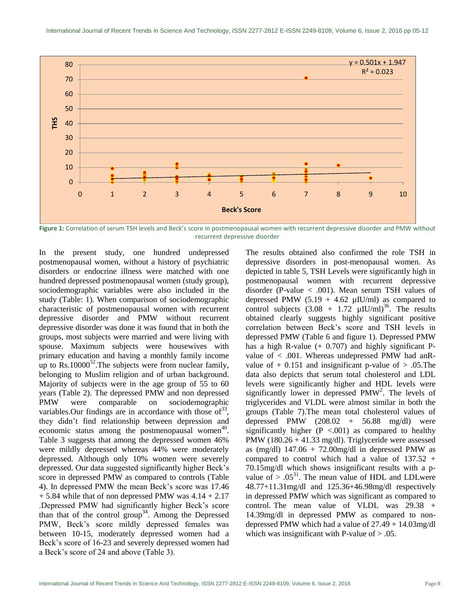

**Figure 1:** Correlation of serum TSH levels and Beck's score in postmenopausal women with recurrent depressive disorder and PMW without recurrent depressive disorder

In the present study, one hundred undepressed postmenopausal women, without a history of psychiatric disorders or endocrine illness were matched with one hundred depressed postmenopausal women (study group), sociodemographic variables were also included in the study (Table: 1). When comparison of sociodemographic characteristic of postmenopausal women with recurrent depressive disorder and PMW without recurrent depressive disorder was done it was found that in both the groups, most subjects were married and were living with spouse. Maximum subjects were housewives with primary education and having a monthly family income up to  $\text{Rs.10000}^{52}$ . The subjects were from nuclear family, belonging to Muslim religion and of urban background. Majority of subjects were in the age group of 55 to 60 years (Table 2). The depressed PMW and non depressed PMW were comparable on sociodemographic variables. Our findings are in accordance with those of  $33$ , they didn't find relationship between depression and economic status among the postmenopausal women $40$ . Table 3 suggests that among the depressed women 46% were mildly depressed whereas 44% were moderately depressed. Although only 10% women were severely depressed. Our data suggested significantly higher Beck's score in depressed PMW as compared to controls (Table 4). In depressed PMW the mean Beck's score was 17.46  $+ 5.84$  while that of non depressed PMW was  $4.14 + 2.17$ .Depressed PMW had significantly higher Beck's score than that of the control group<sup>34</sup>. Among the Depressed PMW, Beck's score mildly depressed females was between 10-15, moderately depressed women had a Beck's score of 16-23 and severely depressed women had a Beck's score of 24 and above (Table 3).

The results obtained also confirmed the role TSH in depressive disorders in post-menopausal women. As depicted in table 5, TSH Levels were significantly high in postmenopausal women with recurrent depressive disorder (P-value < .001). Mean serum TSH values of depressed PMW  $(5.19 + 4.62 \text{ µIU/ml})$  as compared to control subjects  $(3.08 + 1.72 \mu\text{IU/ml})^{36}$ . The results obtained clearly suggests highly significant positive correlation between Beck's score and TSH levels in depressed PMW (Table 6 and figure 1). Depressed PMW has a high R-value  $(+ 0.707)$  and highly significant Pvalue of < .001. Whereas undepressed PMW had anRvalue of  $+$  0.151 and insignificant p-value of  $> .05$ . The data also depicts that serum total cholesterol and LDL levels were significantly higher and HDL levels were significantly lower in depressed  $PMW<sup>2</sup>$ . The levels of triglycerides and VLDL were almost similar in both the groups (Table 7).The mean total cholesterol values of depressed PMW  $(208.02 + 56.88 \text{ mg/dl})$  were significantly higher  $(P < .001)$  as compared to healthy PMW (180.26 + 41.33 mg/dl). Triglyceride were assessed as (mg/dl)  $147.06 + 72.00$  mg/dl in depressed PMW as compared to control which had a value of 137.52 + 70.15mg/dl which shows insignificant results with a pvalue of  $> .05^{31}$ . The mean value of HDL and LDLwere 48.77+11.31mg/dl and 125.36+46.98mg/dl respectively in depressed PMW which was significant as compared to control. The mean value of VLDL was 29.38 + 14.39mg/dl in depressed PMW as compared to nondepressed PMW which had a value of 27.49 + 14.03mg/dl which was insignificant with P-value of  $> .05$ .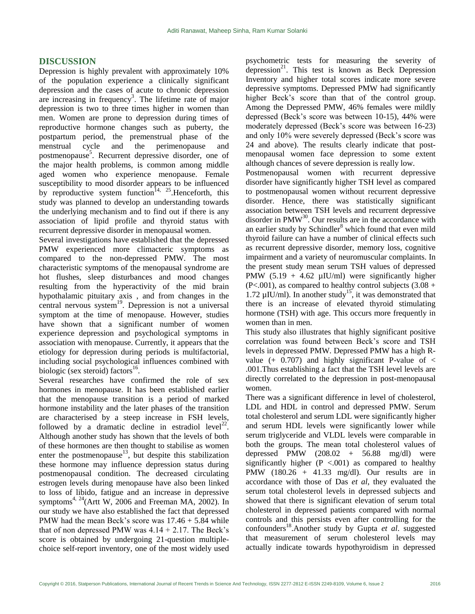# **DISCUSSION**

Depression is highly prevalent with approximately 10% of the population experience a clinically significant depression and the cases of acute to chronic depression are increasing in frequency<sup>3</sup>. The lifetime rate of major depression is two to three times higher in women than men. Women are prone to depression during times of reproductive hormone changes such as puberty, the postpartum period, the premenstrual phase of the menstrual cycle and the perimenopause and postmenopause<sup>5</sup>. Recurrent depressive disorder, one of the major health problems, is common among middle aged women who experience menopause. Female susceptibility to mood disorder appears to be influenced by reproductive system function<sup>14, 25</sup>. Henceforth, this study was planned to develop an understanding towards the underlying mechanism and to find out if there is any association of lipid profile and thyroid status with recurrent depressive disorder in menopausal women.

Several investigations have established that the depressed PMW experienced more climacteric symptoms as compared to the non-depressed PMW. The most characteristic symptoms of the menopausal syndrome are hot flushes, sleep disturbances and mood changes resulting from the hyperactivity of the mid brain hypothalamic pituitary axis , and from changes in the central nervous system<sup>19</sup>. Depression is not a universal symptom at the time of menopause. However, studies have shown that a significant number of women experience depression and psychological symptoms in association with menopause. Currently, it appears that the etiology for depression during periods is multifactorial, including social psychological influences combined with biologic (sex steroid) factors<sup>16</sup>.

Several researches have confirmed the role of sex hormones in menopause. It has been established earlier that the menopause transition is a period of marked hormone instability and the later phases of the transition are characterised by a steep increase in FSH levels, followed by a dramatic decline in estradiol  $level^{22}$ . Although another study has shown that the levels of both of these hormones are then thought to stabilise as women enter the postmenopause<sup>13</sup>, but despite this stabilization these hormone may influence depression status during postmenopausal condition. The decreased circulating estrogen levels during menopause have also been linked to loss of libido, fatigue and an increase in depressive symptoms<sup>4, 24</sup>(Artt W, 2006 and Freeman MA, 2002). In our study we have also established the fact that depressed PMW had the mean Beck's score was  $17.46 + 5.84$  while that of non depressed PMW was  $4.14 + 2.17$ . The Beck's score is obtained by undergoing 21-question multiplechoice self-report inventory, one of the most widely used

psychometric tests for measuring the severity of depression $^{21}$ . This test is known as Beck Depression Inventory and higher total scores indicate more severe depressive symptoms. Depressed PMW had significantly higher Beck's score than that of the control group. Among the Depressed PMW, 46% females were mildly depressed (Beck's score was between 10-15), 44% were moderately depressed (Beck's score was between 16-23) and only 10% were severely depressed (Beck's score was 24 and above). The results clearly indicate that postmenopausal women face depression to some extent although chances of severe depression is really low.

Postmenopausal women with recurrent depressive disorder have significantly higher TSH level as compared to postmenopausal women without recurrent depressive disorder. Hence, there was statistically significant association between TSH levels and recurrent depressive disorder in  $PMW^{30}$ . Our results are in the accordance with an earlier study by  $Schindler<sup>8</sup>$  which found that even mild thyroid failure can have a number of clinical effects such as recurrent depressive disorder, memory loss, cognitive impairment and a variety of neuromuscular complaints. In the present study mean serum TSH values of depressed PMW  $(5.19 + 4.62 \text{ µIU/ml})$  were significantly higher  $(P<.001)$ , as compared to healthy control subjects  $(3.08 +$ 1.72  $\mu$ IU/ml). In another study<sup>15</sup>, it was demonstrated that there is an increase of elevated thyroid stimulating hormone (TSH) with age. This occurs more frequently in women than in men.

This study also illustrates that highly significant positive correlation was found between Beck's score and TSH levels in depressed PMW. Depressed PMW has a high Rvalue  $(+ 0.707)$  and highly significant P-value of  $\lt$ .001.Thus establishing a fact that the TSH level levels are directly correlated to the depression in post-menopausal women.

There was a significant difference in level of cholesterol, LDL and HDL in control and depressed PMW. Serum total cholesterol and serum LDL were significantly higher and serum HDL levels were significantly lower while serum triglyceride and VLDL levels were comparable in both the groups. The mean total cholesterol values of depressed PMW  $(208.02 + 56.88 \text{ mg/dl})$  were significantly higher  $(P < .001)$  as compared to healthy PMW (180.26 + 41.33 mg/dl). Our results are in accordance with those of Das *et al*, they evaluated the serum total cholesterol levels in depressed subjects and showed that there is significant elevation of serum total cholesterol in depressed patients compared with normal controls and this persists even after controlling for the confounders<sup>18</sup>.Another study by Gupta *et al*. suggested that measurement of serum cholesterol levels may actually indicate towards hypothyroidism in depressed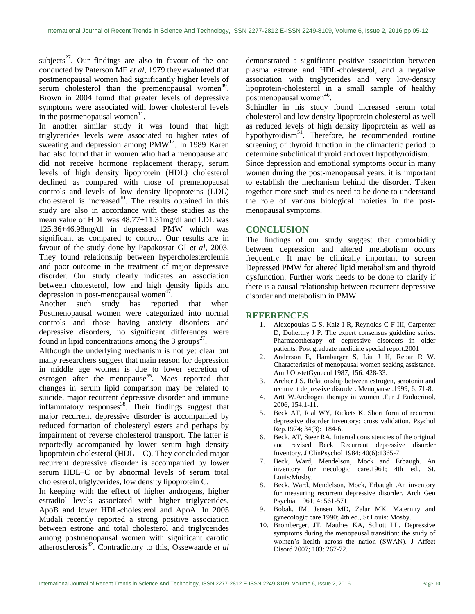subjects<sup>27</sup>. Our findings are also in favour of the one conducted by Paterson ME *et al*, 1979 they evaluated that postmenopausal women had significantly higher levels of  $\frac{1}{\pi}$  erum cholesterol than the premenopausal women<sup>49</sup>. Brown in 2004 found that greater levels of depressive symptoms were associated with lower cholesterol levels in the postmenopausal women $11$ .

In another similar study it was found that high triglycerides levels were associated to higher rates of sweating and depression among  $PMW<sup>17</sup>$ . In 1989 Karen had also found that in women who had a menopause and did not receive hormone replacement therapy, serum levels of high density lipoprotein (HDL) cholesterol declined as compared with those of premenopausal controls and levels of low density lipoproteins (LDL) cholesterol is increased<sup>10</sup>. The results obtained in this study are also in accordance with these studies as the mean value of HDL was 48.77+11.31mg/dl and LDL was 125.36+46.98mg/dl in depressed PMW which was significant as compared to control. Our results are in favour of the study done by Papakostar GI *et al*, 2003. They found relationship between hypercholesterolemia and poor outcome in the treatment of major depressive disorder. Our study clearly indicates an association between cholesterol, low and high density lipids and depression in post-menopausal women $47$ .

Another such study has reported that when Postmenopausal women were categorized into normal controls and those having anxiety disorders and depressive disorders, no significant differences were found in lipid concentrations among the 3 groups<sup>27</sup>.

Although the underlying mechanism is not yet clear but many researchers suggest that main reason for depression in middle age women is due to lower secretion of estrogen after the menopause<sup>55</sup>. Maes reported that changes in serum lipid comparison may be related to suicide, major recurrent depressive disorder and immune inflammatory responses $^{38}$ . Their findings suggest that major recurrent depressive disorder is accompanied by reduced formation of cholesteryl esters and perhaps by impairment of reverse cholesterol transport. The latter is reportedly accompanied by lower serum high density lipoprotein cholesterol ( $HDL - C$ ). They concluded major recurrent depressive disorder is accompanied by lower serum HDL–C or by abnormal levels of serum total cholesterol, triglycerides, low density lipoprotein C.

In keeping with the effect of higher androgens, higher estradiol levels associated with higher triglycerides, ApoB and lower HDL-cholesterol and ApoA. In 2005 Mudali recently reported a strong positive association between estrone and total cholesterol and triglycerides among postmenopausal women with significant carotid atherosclerosis<sup>42</sup>. Contradictory to this, Ossewaarde *et al* demonstrated a significant positive association between plasma estrone and HDL-cholesterol, and a negative association with triglycerides and very low-density lipoprotein-cholesterol in a small sample of healthy  $postmenopausal women<sup>46</sup>$ .

Schindler in his study found increased serum total cholesterol and low density lipoprotein cholesterol as well as reduced levels of high density lipoprotein as well as hypothyroidism<sup>51</sup>. Therefore, he recommended routine screening of thyroid function in the climacteric period to determine subclinical thyroid and overt hypothyroidism.

Since depression and emotional symptoms occur in many women during the post-menopausal years, it is important to establish the mechanism behind the disorder. Taken together more such studies need to be done to understand the role of various biological moieties in the postmenopausal symptoms.

### **CONCLUSION**

The findings of our study suggest that comorbidity between depression and altered metabolism occurs frequently. It may be clinically important to screen Depressed PMW for altered lipid metabolism and thyroid dysfunction. Further work needs to be done to clarify if there is a causal relationship between recurrent depressive disorder and metabolism in PMW.

# **REFERENCES**

- 1. Alexopoulas G S, Kalz I R, Reynolds C F III, Carpenter D, Doherthy J P. The expert consensus guideline series: Pharmacotherapy of depressive disorders in older patients. Post graduate medicine special report.2001
- 2. Anderson E, Hamburger S, Liu J H, Rebar R W. Characteristics of menopausal women seeking assistance. Am J ObstetGynecol 1987; 156: 428-33.
- 3. Archer J S. Relationship between estrogen, serotonin and recurrent depressive disorder. Menopause .1999; 6: 71-8.
- 4. Artt W.Androgen therapy in women .Eur J Endocrinol. 2006; 154:1-11.
- 5. Beck AT, Rial WY, Rickets K. Short form of recurrent depressive disorder inventory: cross validation. Psychol Rep.1974; 34(3):1184-6.
- 6. Beck, AT, Steer RA. Internal consistencies of the original and revised Beck Recurrent depressive disorder Inventory. J ClinPsychol 1984; 40(6):1365-7.
- 7. Beck, Ward, Mendelson, Mock and Erbaugh. An inventory for necologic care.1961; 4th ed., St. Louis:Mosby.
- 8. Beck, Ward, Mendelson, Mock, Erbaugh .An inventory for measuring recurrent depressive disorder. Arch Gen Psychiat 1961; 4: 561-571.
- 9. Bobak, IM, Jensen MD, Zalar MK. Maternity and gynecologic care 1990; 4th ed., St Louis: Mosby.
- 10. Bromberger, JT, Matthes KA, Schott LL. Depressive symptoms during the menopausal transition: the study of women's health across the nation (SWAN). J Affect Disord 2007; 103: 267-72.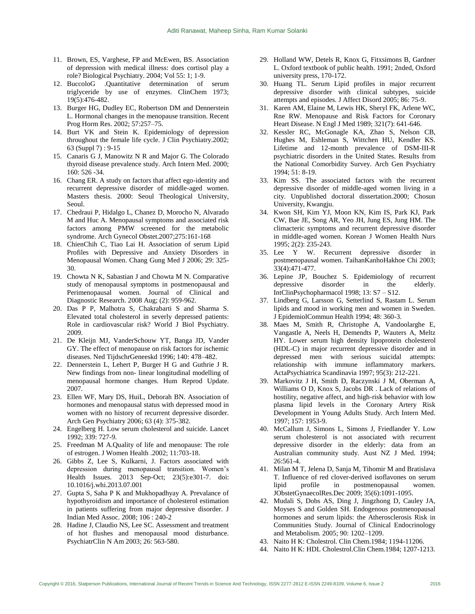- 11. Brown, ES, Varghese, FP and McEwen, BS. Association of depression with medical illness: does cortisol play a role? Biological Psychiatry. 2004; Vol 55: 1; 1-9.
- 12. BuccoloG .Quantitative determination of serum triglyceride by use of enzymes. ClinChem 1973; 19(5):476-482.
- 13. Burger HG, Dudley EC, Robertson DM and Dennerstein L. Hormonal changes in the menopause transition. Recent Prog Horm Res. 2002; 57:257–75.
- 14. Burt VK and Stein K. Epidemiology of depression throughout the female life cycle. J Clin Psychiatry.2002; 63 (Suppl 7) : 9-15
- 15. Canaris G J, Manowitz N R and Major G. The Colorado thyroid disease prevalence study. Arch Intern Med. 2000; 160: 526 -34.
- 16. Chang ER. A study on factors that affect ego-identity and recurrent depressive disorder of middle-aged women. Masters thesis. 2000: Seoul Theological University, Seoul.
- 17. Chedraui P, Hidalgo L, Chanez D, Morocho N, Alvarado M and Huc A. Menopausal symptoms and associated risk factors among PMW screened for the metabolic syndrome. Arch Gynecol Obstet.2007;275:161-168
- 18. ChienChih C, Tiao Lai H. Association of serum Lipid Profiles with Depressive and Anxiety Disorders in Menopausal Women. Chang Gung Med J 2006; 29: 325- 30.
- 19. Chowta N K, Sabastian J and Chowta M N. Comparative study of menopausal symptoms in postmenopausal and Perimenopausal women. Journal of Clinical and Diagnostic Research. 2008 Aug; (2): 959-962.
- 20. Das P P, Malhotra S, Chakrabarti S and Sharma S. Elevated total cholesterol in severly depressed patients: Role in cardiovascular risk? World J Biol Psychiatry. 2009.
- 21. De Kleijn MJ, VanderSchouw YT, Banga JD, Vander GY. The effect of menopause on risk factors for ischemic diseases. Ned TijdschrGeneeskd 1996; 140: 478–482.
- 22. Dennerstein L, Lehert P, Burger H G and Guthrie J R. New findings from non- linear longitudinal modelling of menopausal hormone changes. Hum Reprod Update. 2007.
- 23. Ellen WF, Mary DS, HuiL, Deborah BN. Association of hormones and menopausal status with depressed mood in women with no history of recurrent depressive disorder. Arch Gen Psychiatry 2006; 63 (4): 375-382.
- 24. Engelberg H. Low serum cholesterol and suicide. Lancet 1992; 339: 727-9.
- 25. Freedman M A.Quality of life and menopause: The role of estrogen. J Women Health .2002; 11:703-18.
- 26. Gibbs Z, Lee S, Kulkarni, J. Factors associated with depression during menopausal transition. Women's Health Issues. 2013 Sep-Oct; 23(5):e301-7. doi: 10.1016/j.whi.2013.07.001
- 27. Gupta S, Saha P K and Mukhopadhyay A. Prevalance of hypothyroidism and importance of cholesterol estimation in patients suffering from major depressive disorder. J Indian Med Assoc. 2008; 106 : 240-2
- 28. Hadine J, Claudio NS, Lee SC. Assessment and treatment of hot flushes and menopausal mood disturbance. PsychiatrClin N Am 2003; 26: 563-580.
- 29. Holland WW, Detels R, Knox G, Fitxsimons B, Gardner L. Oxford textbook of public health. 1991; 2nded, Oxford university press, 170-172.
- 30. Huang TL. Serum Lipid profiles in major recurrent depressive disorder with clinical subtypes, suicide attempts and episodes. J Affect Disord 2005; 86: 75-9.
- 31. Karen AM, Elaine M, Lewis HK, Sheryl FK, Arlene WC, Rne RW. Menopause and Risk Factors for Coronary Heart Disease. N Engl J Med 1989; 321(7): 641-646.
- 32. Kessler RC, McGonagle KA, Zhao S, Nelson CB, Hughes M, Eshleman S, Wittchen HU, Kendler KS. Lifetime and 12-month prevalence of DSM-III-R psychiatric disorders in the United States. Results from the National Comorbidity Survey. Arch Gen Psychiatry 1994; 51: 8-19.
- 33. Kim SS. The associated factors with the recurrent depressive disorder of middle-aged women living in a city. Unpublished doctoral dissertation.2000; Chosun University, Kwangju.
- 34. Kwon SH, Kim YJ, Moon KN, Kim IS, Park KJ, Park CW, Bae JE, Song AR, Yeo JH, Jung ES, Jung HM. The climacteric symptoms and recurrent depressive disorder in middle-aged women. Korean J Women Health Nurs 1995; 2(2): 235-243.
- 35. Lee Y W. Recurrent depressive disorder in postmenopausal women. TaihanKanhoHakhoe Chi 2003; 33(4):471-477.
- 36. Lepine JP, Bouchez S. Epidemiology of recurrent depressive disorder in the elderly. IntClinPsychopharmacol 1998; 13: S7 – S12.
- 37. Lindberg G, Larsson G, Setterlind S, Rastam L. Serum lipids and mood in working men and women in Sweden. J EpidemiolCommun Health 1994; 48: 360-3.
- 38. Maes M, Smith R, Christophe A, Vandoolarghe E, Vangastle A, Neels H, Demendts P, Wauters A, Meltz HY. Lower serum high density lipoprotein cholesterol (HDL-C) in major recurrent depressive disorder and in depressed men with serious suicidal attempts: relationship with immune inflammatory markers. ActaPsychiatrica Scandinavia 1997; 95(3): 212-221.
- 39. Markovitz J H, Smith D, Raczynski J M, Oberman A, Williams O D, Knox S, Jacobs DR . Lack of relations of hostility, negative affect, and high-risk behavior with low plasma lipid levels in the Coronary Artery Risk Development in Young Adults Study. Arch Intern Med. 1997; 157: 1953-9.
- 40. McCallum J, Simons L, Simons J, Friedlander Y. Low serum cholesterol is not associated with recurrent depressive disorder in the elderly: data from an Australian community study. Aust NZ J Med. 1994; 26:561-4.
- 41. Milan M T, Jelena D, Sanja M, Tihomir M and Bratislava T. Influence of red clover-derived isoflavones on serum lipid profile in postmenopausal women. JObstetGynaecolRes.Dec 2009; 35(6):1091-1095.
- 42. Mudali S, Dobs AS, Ding J, Jingzhong D, Cauley JA, Moyses S and Golden SH. Endogenous postmenopausal hormones and serum lipids: the Atherosclerosis Risk in Communities Study. Journal of Clinical Endocrinology and Metabolism. 2005; 90: 1202–1209.
- 43. Naito H K: Cholestrol. Clin Chem.1984; 1194-11206.
- 44. Naito H K: HDL Cholestrol.Clin Chem.1984; 1207-1213.